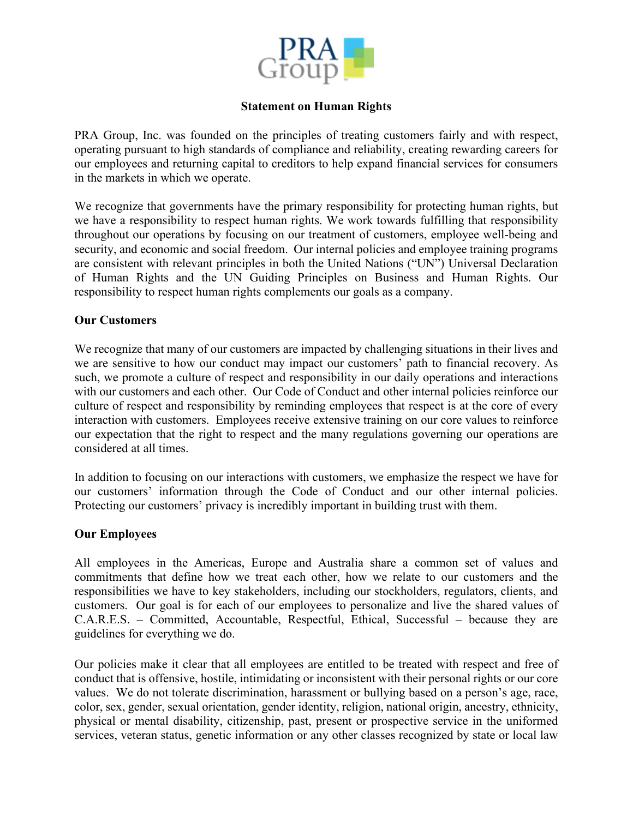

## **Statement on Human Rights**

PRA Group, Inc. was founded on the principles of treating customers fairly and with respect, operating pursuant to high standards of compliance and reliability, creating rewarding careers for our employees and returning capital to creditors to help expand financial services for consumers in the markets in which we operate.

We recognize that governments have the primary responsibility for protecting human rights, but we have a responsibility to respect human rights. We work towards fulfilling that responsibility throughout our operations by focusing on our treatment of customers, employee well-being and security, and economic and social freedom. Our internal policies and employee training programs are consistent with relevant principles in both the United Nations ("UN") Universal Declaration of Human Rights and the UN Guiding Principles on Business and Human Rights. Our responsibility to respect human rights complements our goals as a company.

## **Our Customers**

We recognize that many of our customers are impacted by challenging situations in their lives and we are sensitive to how our conduct may impact our customers' path to financial recovery. As such, we promote a culture of respect and responsibility in our daily operations and interactions with our customers and each other. Our Code of Conduct and other internal policies reinforce our culture of respect and responsibility by reminding employees that respect is at the core of every interaction with customers. Employees receive extensive training on our core values to reinforce our expectation that the right to respect and the many regulations governing our operations are considered at all times.

In addition to focusing on our interactions with customers, we emphasize the respect we have for our customers' information through the Code of Conduct and our other internal policies. Protecting our customers' privacy is incredibly important in building trust with them.

## **Our Employees**

All employees in the Americas, Europe and Australia share a common set of values and commitments that define how we treat each other, how we relate to our customers and the responsibilities we have to key stakeholders, including our stockholders, regulators, clients, and customers. Our goal is for each of our employees to personalize and live the shared values of C.A.R.E.S. – Committed, Accountable, Respectful, Ethical, Successful – because they are guidelines for everything we do.

Our policies make it clear that all employees are entitled to be treated with respect and free of conduct that is offensive, hostile, intimidating or inconsistent with their personal rights or our core values. We do not tolerate discrimination, harassment or bullying based on a person's age, race, color, sex, gender, sexual orientation, gender identity, religion, national origin, ancestry, ethnicity, physical or mental disability, citizenship, past, present or prospective service in the uniformed services, veteran status, genetic information or any other classes recognized by state or local law